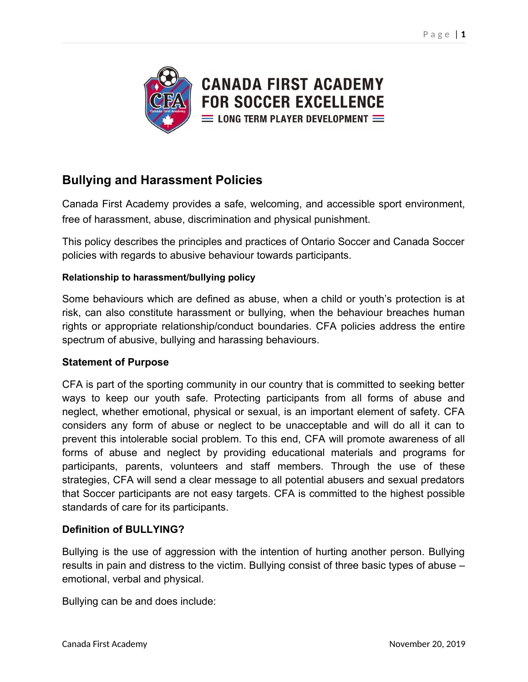

# **Bullying and Harassment Policies**

Canada First Academy provides a safe, welcoming, and accessible sport environment, free of harassment, abuse, discrimination and physical punishment.

This policy describes the principles and practices of Ontario Soccer and Canada Soccer policies with regards to abusive behaviour towards participants.

#### **Relationship to harassment/bullying policy**

Some behaviours which are defined as abuse, when a child or youth's protection is at risk, can also constitute harassment or bullying, when the behaviour breaches human rights or appropriate relationship/conduct boundaries. CFA policies address the entire spectrum of abusive, bullying and harassing behaviours.

#### **Statement of Purpose**

CFA is part of the sporting community in our country that is committed to seeking better ways to keep our youth safe. Protecting participants from all forms of abuse and neglect, whether emotional, physical or sexual, is an important element of safety. CFA considers any form of abuse or neglect to be unacceptable and will do all it can to prevent this intolerable social problem. To this end, CFA will promote awareness of all forms of abuse and neglect by providing educational materials and programs for participants, parents, volunteers and staff members. Through the use of these strategies, CFA will send a clear message to all potential abusers and sexual predators that Soccer participants are not easy targets. CFA is committed to the highest possible standards of care for its participants.

#### **Definition of BULLYING?**

Bullying is the use of aggression with the intention of hurting another person. Bullying results in pain and distress to the victim. Bullying consist of three basic types of abuse – emotional, verbal and physical.

Bullying can be and does include: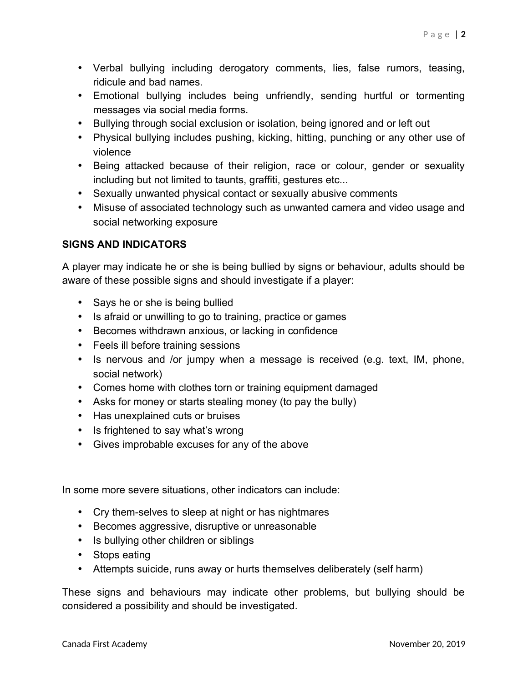- Verbal bullying including derogatory comments, lies, false rumors, teasing, ridicule and bad names.
- Emotional bullying includes being unfriendly, sending hurtful or tormenting messages via social media forms.
- Bullying through social exclusion or isolation, being ignored and or left out
- Physical bullying includes pushing, kicking, hitting, punching or any other use of violence
- Being attacked because of their religion, race or colour, gender or sexuality including but not limited to taunts, graffiti, gestures etc...
- Sexually unwanted physical contact or sexually abusive comments
- Misuse of associated technology such as unwanted camera and video usage and social networking exposure

### **SIGNS AND INDICATORS**

A player may indicate he or she is being bullied by signs or behaviour, adults should be aware of these possible signs and should investigate if a player:

- Says he or she is being bullied
- Is afraid or unwilling to go to training, practice or games
- Becomes withdrawn anxious, or lacking in confidence
- Feels ill before training sessions
- Is nervous and /or jumpy when a message is received (e.g. text, IM, phone, social network)
- Comes home with clothes torn or training equipment damaged
- Asks for money or starts stealing money (to pay the bully)
- Has unexplained cuts or bruises
- Is frightened to say what's wrong
- Gives improbable excuses for any of the above

In some more severe situations, other indicators can include:

- Cry them-selves to sleep at night or has nightmares
- Becomes aggressive, disruptive or unreasonable
- Is bullying other children or siblings
- Stops eating
- Attempts suicide, runs away or hurts themselves deliberately (self harm)

These signs and behaviours may indicate other problems, but bullying should be considered a possibility and should be investigated.